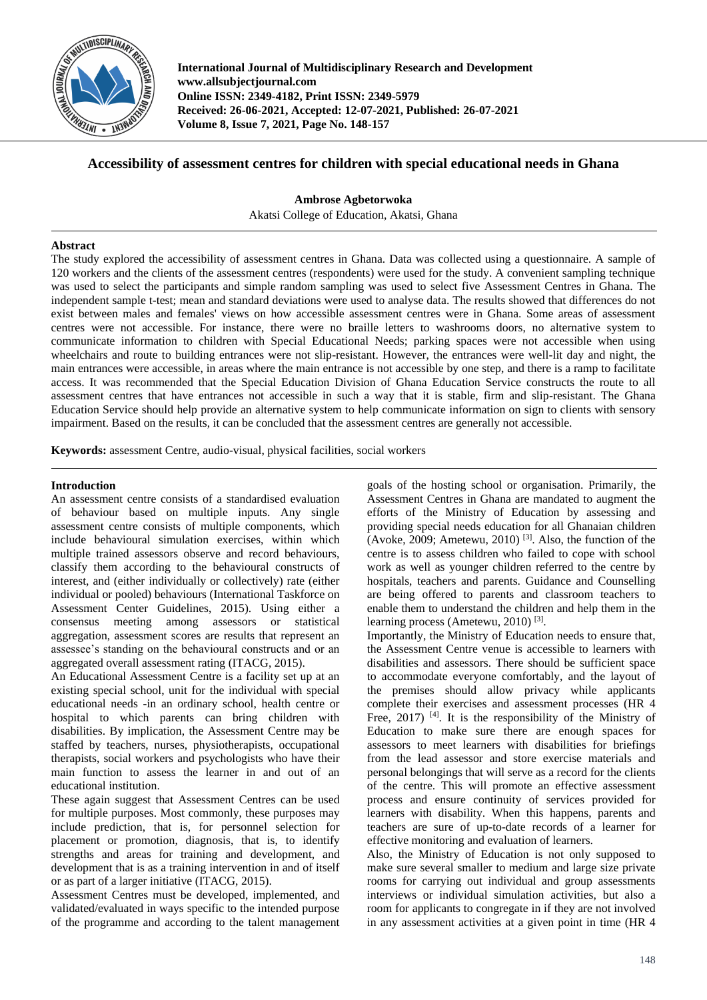

**International Journal of Multidisciplinary Research and Development www.allsubjectjournal.com Online ISSN: 2349-4182, Print ISSN: 2349-5979 Received: 26-06-2021, Accepted: 12-07-2021, Published: 26-07-2021 Volume 8, Issue 7, 2021, Page No. 148-157**

# **Accessibility of assessment centres for children with special educational needs in Ghana**

**Ambrose Agbetorwoka**  Akatsi College of Education, Akatsi, Ghana

# **Abstract**

The study explored the accessibility of assessment centres in Ghana. Data was collected using a questionnaire. A sample of 120 workers and the clients of the assessment centres (respondents) were used for the study. A convenient sampling technique was used to select the participants and simple random sampling was used to select five Assessment Centres in Ghana. The independent sample t-test; mean and standard deviations were used to analyse data. The results showed that differences do not exist between males and females' views on how accessible assessment centres were in Ghana. Some areas of assessment centres were not accessible. For instance, there were no braille letters to washrooms doors, no alternative system to communicate information to children with Special Educational Needs; parking spaces were not accessible when using wheelchairs and route to building entrances were not slip-resistant. However, the entrances were well-lit day and night, the main entrances were accessible, in areas where the main entrance is not accessible by one step, and there is a ramp to facilitate access. It was recommended that the Special Education Division of Ghana Education Service constructs the route to all assessment centres that have entrances not accessible in such a way that it is stable, firm and slip-resistant. The Ghana Education Service should help provide an alternative system to help communicate information on sign to clients with sensory impairment. Based on the results, it can be concluded that the assessment centres are generally not accessible.

**Keywords:** assessment Centre, audio-visual, physical facilities, social workers

# **Introduction**

An assessment centre consists of a standardised evaluation of behaviour based on multiple inputs. Any single assessment centre consists of multiple components, which include behavioural simulation exercises, within which multiple trained assessors observe and record behaviours, classify them according to the behavioural constructs of interest, and (either individually or collectively) rate (either individual or pooled) behaviours (International Taskforce on Assessment Center Guidelines, 2015). Using either a consensus meeting among assessors or statistical aggregation, assessment scores are results that represent an assessee's standing on the behavioural constructs and or an aggregated overall assessment rating (ITACG, 2015).

An Educational Assessment Centre is a facility set up at an existing special school, unit for the individual with special educational needs -in an ordinary school, health centre or hospital to which parents can bring children with disabilities. By implication, the Assessment Centre may be staffed by teachers, nurses, physiotherapists, occupational therapists, social workers and psychologists who have their main function to assess the learner in and out of an educational institution.

These again suggest that Assessment Centres can be used for multiple purposes. Most commonly, these purposes may include prediction, that is, for personnel selection for placement or promotion, diagnosis, that is, to identify strengths and areas for training and development, and development that is as a training intervention in and of itself or as part of a larger initiative (ITACG, 2015).

Assessment Centres must be developed, implemented, and validated/evaluated in ways specific to the intended purpose of the programme and according to the talent management

goals of the hosting school or organisation. Primarily, the Assessment Centres in Ghana are mandated to augment the efforts of the Ministry of Education by assessing and providing special needs education for all Ghanaian children (Avoke, 2009; Ametewu, 2010)<sup>[3]</sup>. Also, the function of the centre is to assess children who failed to cope with school work as well as younger children referred to the centre by hospitals, teachers and parents. Guidance and Counselling are being offered to parents and classroom teachers to enable them to understand the children and help them in the learning process (Ametewu, 2010)<sup>[3]</sup>.

Importantly, the Ministry of Education needs to ensure that, the Assessment Centre venue is accessible to learners with disabilities and assessors. There should be sufficient space to accommodate everyone comfortably, and the layout of the premises should allow privacy while applicants complete their exercises and assessment processes (HR 4 Free,  $2017$ )<sup>[4]</sup>. It is the responsibility of the Ministry of Education to make sure there are enough spaces for assessors to meet learners with disabilities for briefings from the lead assessor and store exercise materials and personal belongings that will serve as a record for the clients of the centre. This will promote an effective assessment process and ensure continuity of services provided for learners with disability. When this happens, parents and teachers are sure of up-to-date records of a learner for effective monitoring and evaluation of learners.

Also, the Ministry of Education is not only supposed to make sure several smaller to medium and large size private rooms for carrying out individual and group assessments interviews or individual simulation activities, but also a room for applicants to congregate in if they are not involved in any assessment activities at a given point in time (HR 4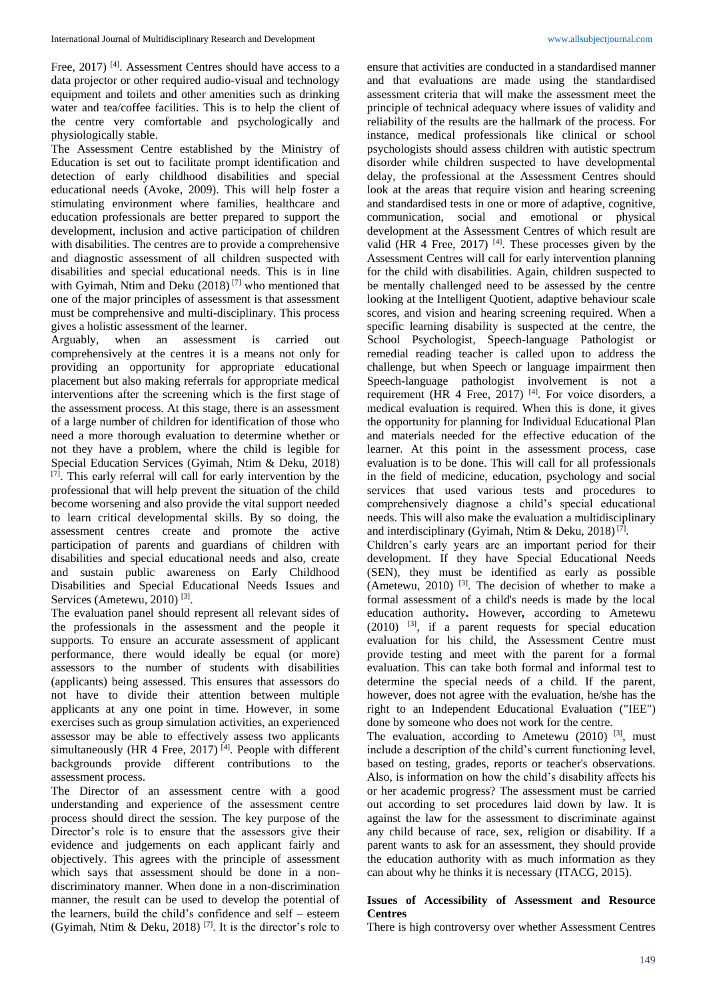Free, 2017)<sup>[4]</sup>. Assessment Centres should have access to a data projector or other required audio-visual and technology equipment and toilets and other amenities such as drinking water and tea/coffee facilities. This is to help the client of the centre very comfortable and psychologically and physiologically stable.

The Assessment Centre established by the Ministry of Education is set out to facilitate prompt identification and detection of early childhood disabilities and special educational needs (Avoke, 2009). This will help foster a stimulating environment where families, healthcare and education professionals are better prepared to support the development, inclusion and active participation of children with disabilities. The centres are to provide a comprehensive and diagnostic assessment of all children suspected with disabilities and special educational needs. This is in line with Gyimah, Ntim and Deku (2018)<sup>[7]</sup> who mentioned that one of the major principles of assessment is that assessment must be comprehensive and multi-disciplinary. This process gives a holistic assessment of the learner.

Arguably, when an assessment is carried out comprehensively at the centres it is a means not only for providing an opportunity for appropriate educational placement but also making referrals for appropriate medical interventions after the screening which is the first stage of the assessment process. At this stage, there is an assessment of a large number of children for identification of those who need a more thorough evaluation to determine whether or not they have a problem, where the child is legible for Special Education Services (Gyimah, Ntim & Deku, 2018) [7]. This early referral will call for early intervention by the professional that will help prevent the situation of the child become worsening and also provide the vital support needed to learn critical developmental skills. By so doing, the assessment centres create and promote the active participation of parents and guardians of children with disabilities and special educational needs and also, create and sustain public awareness on Early Childhood Disabilities and Special Educational Needs Issues and Services (Ametewu, 2010)<sup>[3]</sup>.

The evaluation panel should represent all relevant sides of the professionals in the assessment and the people it supports. To ensure an accurate assessment of applicant performance, there would ideally be equal (or more) assessors to the number of students with disabilities (applicants) being assessed. This ensures that assessors do not have to divide their attention between multiple applicants at any one point in time. However, in some exercises such as group simulation activities, an experienced assessor may be able to effectively assess two applicants simultaneously (HR 4 Free, 2017)<sup>[4]</sup>. People with different backgrounds provide different contributions to the assessment process.

The Director of an assessment centre with a good understanding and experience of the assessment centre process should direct the session. The key purpose of the Director's role is to ensure that the assessors give their evidence and judgements on each applicant fairly and objectively. This agrees with the principle of assessment which says that assessment should be done in a nondiscriminatory manner. When done in a non-discrimination manner, the result can be used to develop the potential of the learners, build the child's confidence and self – esteem (Gyimah, Ntim & Deku, 2018)<sup>[7]</sup>. It is the director's role to ensure that activities are conducted in a standardised manner and that evaluations are made using the standardised assessment criteria that will make the assessment meet the principle of technical adequacy where issues of validity and reliability of the results are the hallmark of the process. For instance, medical professionals like clinical or school psychologists should assess children with autistic spectrum disorder while children suspected to have developmental delay, the professional at the Assessment Centres should look at the areas that require vision and hearing screening and standardised tests in one or more of adaptive, cognitive, communication, social and emotional or physical development at the Assessment Centres of which result are valid (HR 4 Free, 2017)  $[4]$ . These processes given by the Assessment Centres will call for early intervention planning for the child with disabilities. Again, children suspected to be mentally challenged need to be assessed by the centre looking at the Intelligent Quotient, adaptive behaviour scale scores, and vision and hearing screening required. When a specific learning disability is suspected at the centre, the School Psychologist, Speech-language Pathologist or remedial reading teacher is called upon to address the challenge, but when Speech or language impairment then Speech-language pathologist involvement is not a requirement (HR 4 Free, 2017)<sup>[4]</sup>. For voice disorders, a medical evaluation is required. When this is done, it gives the opportunity for planning for Individual Educational Plan and materials needed for the effective education of the learner. At this point in the assessment process, case evaluation is to be done. This will call for all professionals in the field of medicine, education, psychology and social services that used various tests and procedures to comprehensively diagnose a child's special educational needs. This will also make the evaluation a multidisciplinary and interdisciplinary (Gyimah, Ntim & Deku, 2018)<sup>[7]</sup>.

Children's early years are an important period for their development. If they have Special Educational Needs (SEN), they must be identified as early as possible (Ametewu, 2010) [3] . The decision of whether to make a formal assessment of a child's needs is made by the local education authority**.** However**,** according to Ametewu  $(2010)$  <sup>[3]</sup>, if a parent requests for special education evaluation for his child, the Assessment Centre must provide testing and meet with the parent for a formal evaluation. This can take both formal and informal test to determine the special needs of a child. If the parent, however, does not agree with the evaluation, he/she has the right to an Independent Educational Evaluation ("IEE") done by someone who does not work for the centre.

The evaluation, according to Ametewu  $(2010)$ <sup>[3]</sup>, must include a description of the child's current functioning level, based on testing, grades, reports or teacher's observations. Also, is information on how the child's disability affects his or her academic progress? The assessment must be carried out according to set procedures laid down by law. It is against the law for the assessment to discriminate against any child because of race, sex, religion or disability. If a parent wants to ask for an assessment, they should provide the education authority with as much information as they can about why he thinks it is necessary (ITACG, 2015).

## **Issues of Accessibility of Assessment and Resource Centres**

There is high controversy over whether Assessment Centres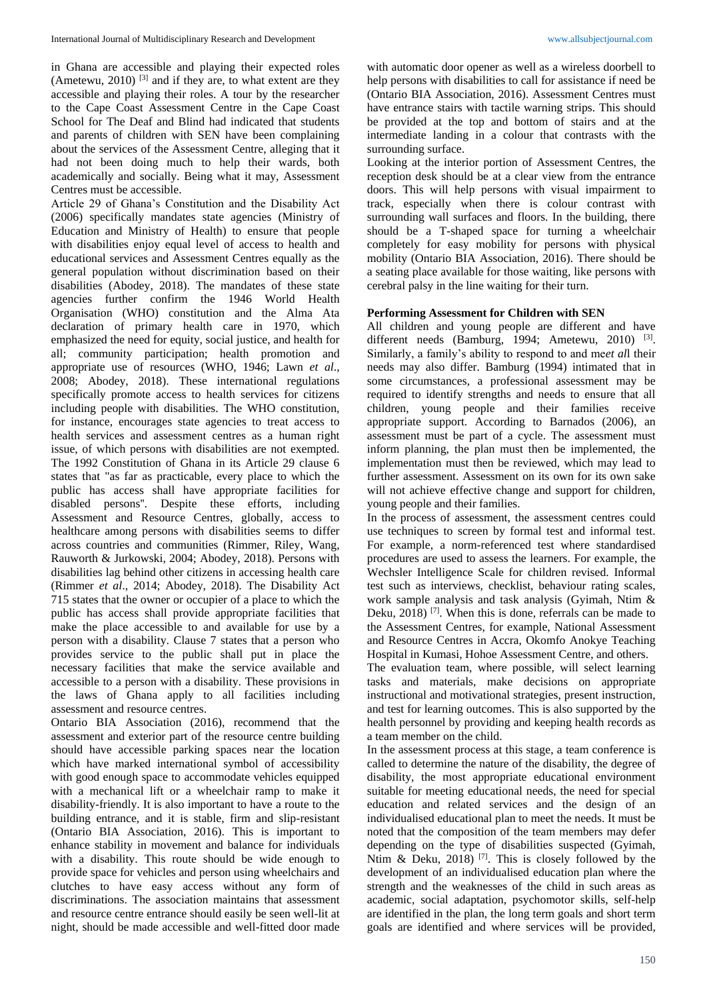in Ghana are accessible and playing their expected roles (Ametewu, 2010)<sup>[3]</sup> and if they are, to what extent are they accessible and playing their roles. A tour by the researcher to the Cape Coast Assessment Centre in the Cape Coast School for The Deaf and Blind had indicated that students and parents of children with SEN have been complaining about the services of the Assessment Centre, alleging that it had not been doing much to help their wards, both academically and socially. Being what it may, Assessment Centres must be accessible.

Article 29 of Ghana's Constitution and the Disability Act (2006) specifically mandates state agencies (Ministry of Education and Ministry of Health) to ensure that people with disabilities enjoy equal level of access to health and educational services and Assessment Centres equally as the general population without discrimination based on their disabilities (Abodey, 2018). The mandates of these state agencies further confirm the 1946 World Health Organisation (WHO) constitution and the Alma Ata declaration of primary health care in 1970, which emphasized the need for equity, social justice, and health for all; community participation; health promotion and appropriate use of resources (WHO, 1946; Lawn *et al*., 2008; Abodey, 2018). These international regulations specifically promote access to health services for citizens including people with disabilities. The WHO constitution, for instance, encourages state agencies to treat access to health services and assessment centres as a human right issue, of which persons with disabilities are not exempted. The 1992 Constitution of Ghana in its Article 29 clause 6 states that "as far as practicable, every place to which the public has access shall have appropriate facilities for disabled persons''. Despite these efforts, including Assessment and Resource Centres, globally, access to healthcare among persons with disabilities seems to differ across countries and communities (Rimmer, Riley, Wang, Rauworth & Jurkowski, 2004; Abodey, 2018). Persons with disabilities lag behind other citizens in accessing health care (Rimmer *et al*., 2014; Abodey, 2018). The Disability Act 715 states that the owner or occupier of a place to which the public has access shall provide appropriate facilities that make the place accessible to and available for use by a person with a disability. Clause 7 states that a person who provides service to the public shall put in place the necessary facilities that make the service available and accessible to a person with a disability. These provisions in the laws of Ghana apply to all facilities including assessment and resource centres.

Ontario BIA Association (2016), recommend that the assessment and exterior part of the resource centre building should have accessible parking spaces near the location which have marked international symbol of accessibility with good enough space to accommodate vehicles equipped with a mechanical lift or a wheelchair ramp to make it disability-friendly. It is also important to have a route to the building entrance, and it is stable, firm and slip-resistant (Ontario BIA Association, 2016). This is important to enhance stability in movement and balance for individuals with a disability. This route should be wide enough to provide space for vehicles and person using wheelchairs and clutches to have easy access without any form of discriminations. The association maintains that assessment and resource centre entrance should easily be seen well-lit at night, should be made accessible and well-fitted door made

with automatic door opener as well as a wireless doorbell to help persons with disabilities to call for assistance if need be (Ontario BIA Association, 2016). Assessment Centres must have entrance stairs with tactile warning strips. This should be provided at the top and bottom of stairs and at the intermediate landing in a colour that contrasts with the surrounding surface.

Looking at the interior portion of Assessment Centres, the reception desk should be at a clear view from the entrance doors. This will help persons with visual impairment to track, especially when there is colour contrast with surrounding wall surfaces and floors. In the building, there should be a T-shaped space for turning a wheelchair completely for easy mobility for persons with physical mobility (Ontario BIA Association, 2016). There should be a seating place available for those waiting, like persons with cerebral palsy in the line waiting for their turn.

## **Performing Assessment for Children with SEN**

All children and young people are different and have different needs (Bamburg, 1994; Ametewu, 2010)  $^{[3]}$ . Similarly, a family's ability to respond to and me*et al*l their needs may also differ. Bamburg (1994) intimated that in some circumstances, a professional assessment may be required to identify strengths and needs to ensure that all children, young people and their families receive appropriate support. According to Barnados (2006), an assessment must be part of a cycle. The assessment must inform planning, the plan must then be implemented, the implementation must then be reviewed, which may lead to further assessment. Assessment on its own for its own sake will not achieve effective change and support for children, young people and their families.

In the process of assessment, the assessment centres could use techniques to screen by formal test and informal test. For example, a norm-referenced test where standardised procedures are used to assess the learners. For example, the Wechsler Intelligence Scale for children revised. Informal test such as interviews, checklist, behaviour rating scales, work sample analysis and task analysis (Gyimah, Ntim & Deku, 2018)<sup>[7]</sup>. When this is done, referrals can be made to the Assessment Centres, for example, National Assessment and Resource Centres in Accra, Okomfo Anokye Teaching Hospital in Kumasi, Hohoe Assessment Centre, and others.

The evaluation team, where possible, will select learning tasks and materials, make decisions on appropriate instructional and motivational strategies, present instruction, and test for learning outcomes. This is also supported by the health personnel by providing and keeping health records as a team member on the child.

In the assessment process at this stage, a team conference is called to determine the nature of the disability, the degree of disability, the most appropriate educational environment suitable for meeting educational needs, the need for special education and related services and the design of an individualised educational plan to meet the needs. It must be noted that the composition of the team members may defer depending on the type of disabilities suspected (Gyimah, Ntim & Deku, 2018)<sup>[7]</sup>. This is closely followed by the development of an individualised education plan where the strength and the weaknesses of the child in such areas as academic, social adaptation, psychomotor skills, self-help are identified in the plan, the long term goals and short term goals are identified and where services will be provided,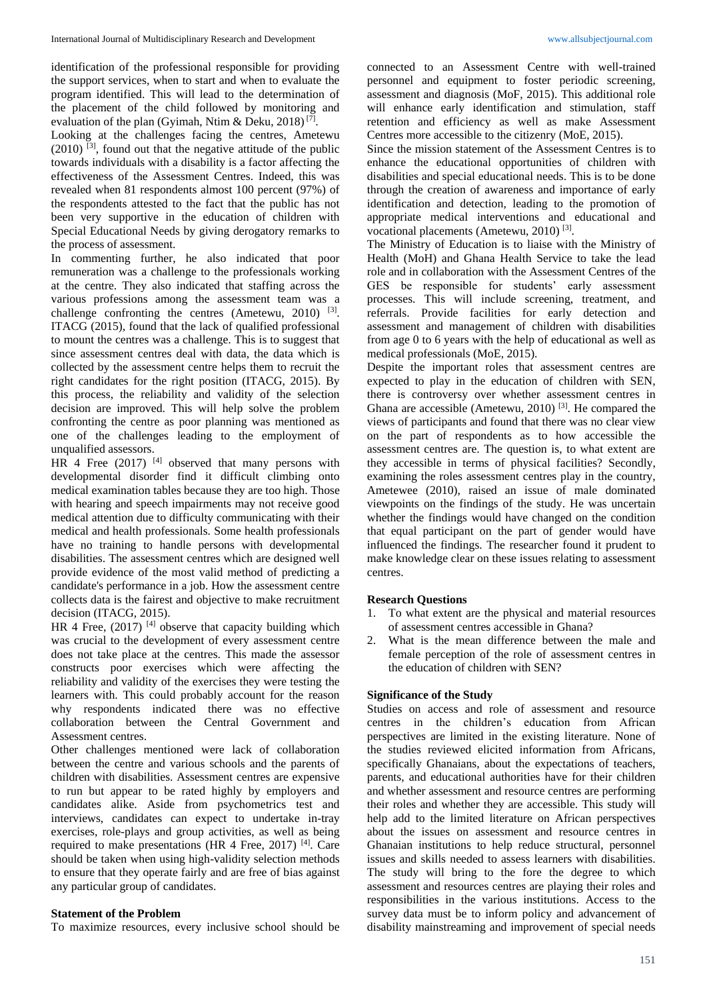identification of the professional responsible for providing the support services, when to start and when to evaluate the program identified. This will lead to the determination of the placement of the child followed by monitoring and evaluation of the plan (Gyimah, Ntim & Deku, 2018)<sup>[7]</sup>.

Looking at the challenges facing the centres, Ametewu  $(2010)$  <sup>[3]</sup>, found out that the negative attitude of the public towards individuals with a disability is a factor affecting the effectiveness of the Assessment Centres. Indeed, this was revealed when 81 respondents almost 100 percent (97%) of the respondents attested to the fact that the public has not been very supportive in the education of children with Special Educational Needs by giving derogatory remarks to the process of assessment.

In commenting further, he also indicated that poor remuneration was a challenge to the professionals working at the centre. They also indicated that staffing across the various professions among the assessment team was a challenge confronting the centres (Ametewu,  $2010$ )<sup>[3]</sup>. ITACG (2015), found that the lack of qualified professional to mount the centres was a challenge. This is to suggest that since assessment centres deal with data, the data which is collected by the assessment centre helps them to recruit the right candidates for the right position (ITACG, 2015). By this process, the reliability and validity of the selection decision are improved. This will help solve the problem confronting the centre as poor planning was mentioned as one of the challenges leading to the employment of unqualified assessors.

 $HR$  4 Free (2017)<sup>[4]</sup> observed that many persons with developmental disorder find it difficult climbing onto medical examination tables because they are too high. Those with hearing and speech impairments may not receive good medical attention due to difficulty communicating with their medical and health professionals. Some health professionals have no training to handle persons with developmental disabilities. The assessment centres which are designed well provide evidence of the most valid method of predicting a candidate's performance in a job. How the assessment centre collects data is the fairest and objective to make recruitment decision (ITACG, 2015).

HR 4 Free,  $(2017)$  <sup>[4]</sup> observe that capacity building which was crucial to the development of every assessment centre does not take place at the centres. This made the assessor constructs poor exercises which were affecting the reliability and validity of the exercises they were testing the learners with. This could probably account for the reason why respondents indicated there was no effective collaboration between the Central Government and Assessment centres.

Other challenges mentioned were lack of collaboration between the centre and various schools and the parents of children with disabilities. Assessment centres are expensive to run but appear to be rated highly by employers and candidates alike. Aside from psychometrics test and interviews, candidates can expect to undertake in-tray exercises, role-plays and group activities, as well as being required to make presentations (HR 4 Free, 2017)<sup>[4]</sup>. Care should be taken when using high-validity selection methods to ensure that they operate fairly and are free of bias against any particular group of candidates.

#### **Statement of the Problem**

To maximize resources, every inclusive school should be

connected to an Assessment Centre with well-trained personnel and equipment to foster periodic screening, assessment and diagnosis (MoF, 2015). This additional role will enhance early identification and stimulation, staff retention and efficiency as well as make Assessment Centres more accessible to the citizenry (MoE, 2015).

Since the mission statement of the Assessment Centres is to enhance the educational opportunities of children with disabilities and special educational needs. This is to be done through the creation of awareness and importance of early identification and detection, leading to the promotion of appropriate medical interventions and educational and vocational placements (Ametewu, 2010)<sup>[3]</sup>.

The Ministry of Education is to liaise with the Ministry of Health (MoH) and Ghana Health Service to take the lead role and in collaboration with the Assessment Centres of the GES be responsible for students' early assessment processes. This will include screening, treatment, and referrals. Provide facilities for early detection and assessment and management of children with disabilities from age 0 to 6 years with the help of educational as well as medical professionals (MoE, 2015).

Despite the important roles that assessment centres are expected to play in the education of children with SEN, there is controversy over whether assessment centres in Ghana are accessible (Ametewu, 2010)<sup>[3]</sup>. He compared the views of participants and found that there was no clear view on the part of respondents as to how accessible the assessment centres are. The question is, to what extent are they accessible in terms of physical facilities? Secondly, examining the roles assessment centres play in the country, Ametewee (2010), raised an issue of male dominated viewpoints on the findings of the study. He was uncertain whether the findings would have changed on the condition that equal participant on the part of gender would have influenced the findings. The researcher found it prudent to make knowledge clear on these issues relating to assessment centres.

## **Research Questions**

- 1. To what extent are the physical and material resources of assessment centres accessible in Ghana?
- 2. What is the mean difference between the male and female perception of the role of assessment centres in the education of children with SEN?

## **Significance of the Study**

Studies on access and role of assessment and resource centres in the children's education from African perspectives are limited in the existing literature. None of the studies reviewed elicited information from Africans, specifically Ghanaians, about the expectations of teachers, parents, and educational authorities have for their children and whether assessment and resource centres are performing their roles and whether they are accessible. This study will help add to the limited literature on African perspectives about the issues on assessment and resource centres in Ghanaian institutions to help reduce structural, personnel issues and skills needed to assess learners with disabilities. The study will bring to the fore the degree to which assessment and resources centres are playing their roles and responsibilities in the various institutions. Access to the survey data must be to inform policy and advancement of disability mainstreaming and improvement of special needs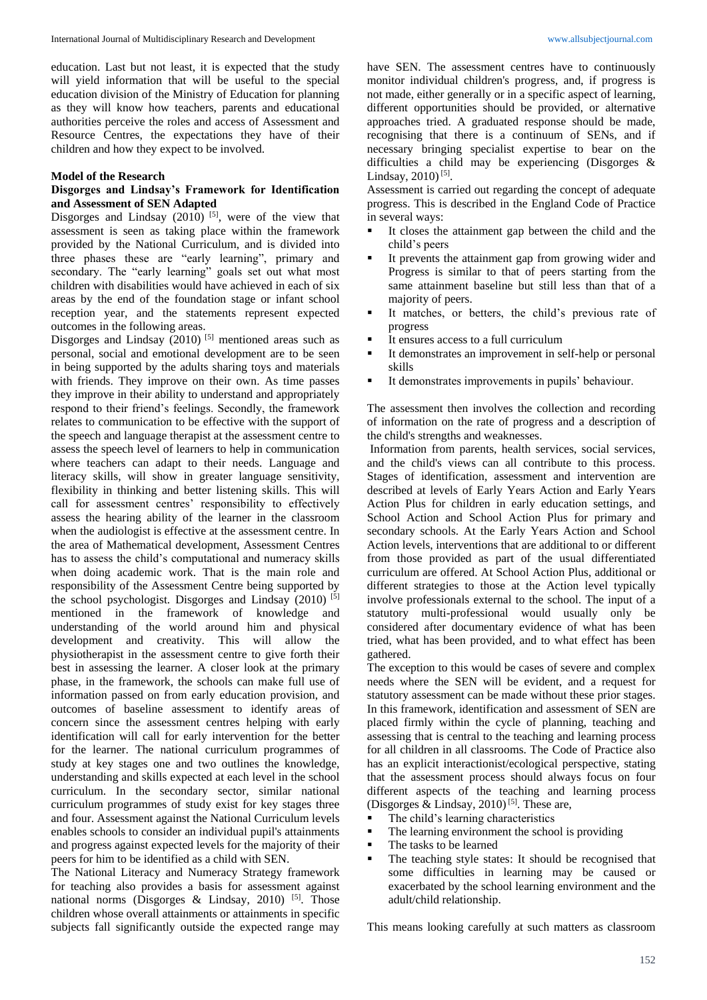education. Last but not least, it is expected that the study will yield information that will be useful to the special education division of the Ministry of Education for planning as they will know how teachers, parents and educational authorities perceive the roles and access of Assessment and Resource Centres, the expectations they have of their children and how they expect to be involved.

## **Model of the Research**

## **Disgorges and Lindsay's Framework for Identification and Assessment of SEN Adapted**

Disgorges and Lindsay  $(2010)$ <sup>[5]</sup>, were of the view that assessment is seen as taking place within the framework provided by the National Curriculum, and is divided into three phases these are "early learning", primary and secondary. The "early learning" goals set out what most children with disabilities would have achieved in each of six areas by the end of the foundation stage or infant school reception year, and the statements represent expected outcomes in the following areas.

Disgorges and Lindsay  $(2010)$ <sup>[5]</sup> mentioned areas such as personal, social and emotional development are to be seen in being supported by the adults sharing toys and materials with friends. They improve on their own. As time passes they improve in their ability to understand and appropriately respond to their friend's feelings. Secondly, the framework relates to communication to be effective with the support of the speech and language therapist at the assessment centre to assess the speech level of learners to help in communication where teachers can adapt to their needs. Language and literacy skills, will show in greater language sensitivity, flexibility in thinking and better listening skills. This will call for assessment centres' responsibility to effectively assess the hearing ability of the learner in the classroom when the audiologist is effective at the assessment centre. In the area of Mathematical development, Assessment Centres has to assess the child's computational and numeracy skills when doing academic work. That is the main role and responsibility of the Assessment Centre being supported by the school psychologist. Disgorges and Lindsay (2010) [5] mentioned in the framework of knowledge and understanding of the world around him and physical development and creativity. This will allow the physiotherapist in the assessment centre to give forth their best in assessing the learner. A closer look at the primary phase, in the framework, the schools can make full use of information passed on from early education provision, and outcomes of baseline assessment to identify areas of concern since the assessment centres helping with early identification will call for early intervention for the better for the learner. The national curriculum programmes of study at key stages one and two outlines the knowledge, understanding and skills expected at each level in the school curriculum. In the secondary sector, similar national curriculum programmes of study exist for key stages three and four. Assessment against the National Curriculum levels enables schools to consider an individual pupil's attainments and progress against expected levels for the majority of their peers for him to be identified as a child with SEN.

The National Literacy and Numeracy Strategy framework for teaching also provides a basis for assessment against national norms (Disgorges & Lindsay, 2010)<sup>[5]</sup>. Those children whose overall attainments or attainments in specific subjects fall significantly outside the expected range may have SEN. The assessment centres have to continuously monitor individual children's progress, and, if progress is not made, either generally or in a specific aspect of learning, different opportunities should be provided, or alternative approaches tried. A graduated response should be made, recognising that there is a continuum of SENs, and if necessary bringing specialist expertise to bear on the difficulties a child may be experiencing (Disgorges & Lindsay,  $2010$ <sup>[5]</sup>.

Assessment is carried out regarding the concept of adequate progress. This is described in the England Code of Practice in several ways:

- It closes the attainment gap between the child and the child's peers
- It prevents the attainment gap from growing wider and Progress is similar to that of peers starting from the same attainment baseline but still less than that of a majority of peers.
- It matches, or betters, the child's previous rate of progress
- It ensures access to a full curriculum
- It demonstrates an improvement in self-help or personal skills
- It demonstrates improvements in pupils' behaviour.

The assessment then involves the collection and recording of information on the rate of progress and a description of the child's strengths and weaknesses.

Information from parents, health services, social services, and the child's views can all contribute to this process. Stages of identification, assessment and intervention are described at levels of Early Years Action and Early Years Action Plus for children in early education settings, and School Action and School Action Plus for primary and secondary schools. At the Early Years Action and School Action levels, interventions that are additional to or different from those provided as part of the usual differentiated curriculum are offered. At School Action Plus, additional or different strategies to those at the Action level typically involve professionals external to the school. The input of a statutory multi-professional would usually only be considered after documentary evidence of what has been tried, what has been provided, and to what effect has been gathered.

The exception to this would be cases of severe and complex needs where the SEN will be evident, and a request for statutory assessment can be made without these prior stages. In this framework, identification and assessment of SEN are placed firmly within the cycle of planning, teaching and assessing that is central to the teaching and learning process for all children in all classrooms. The Code of Practice also has an explicit interactionist/ecological perspective, stating that the assessment process should always focus on four different aspects of the teaching and learning process (Disgorges & Lindsay, 2010)<sup>[5]</sup>. These are,

- The child's learning characteristics
- The learning environment the school is providing
- The tasks to be learned
- The teaching style states: It should be recognised that some difficulties in learning may be caused or exacerbated by the school learning environment and the adult/child relationship.

This means looking carefully at such matters as classroom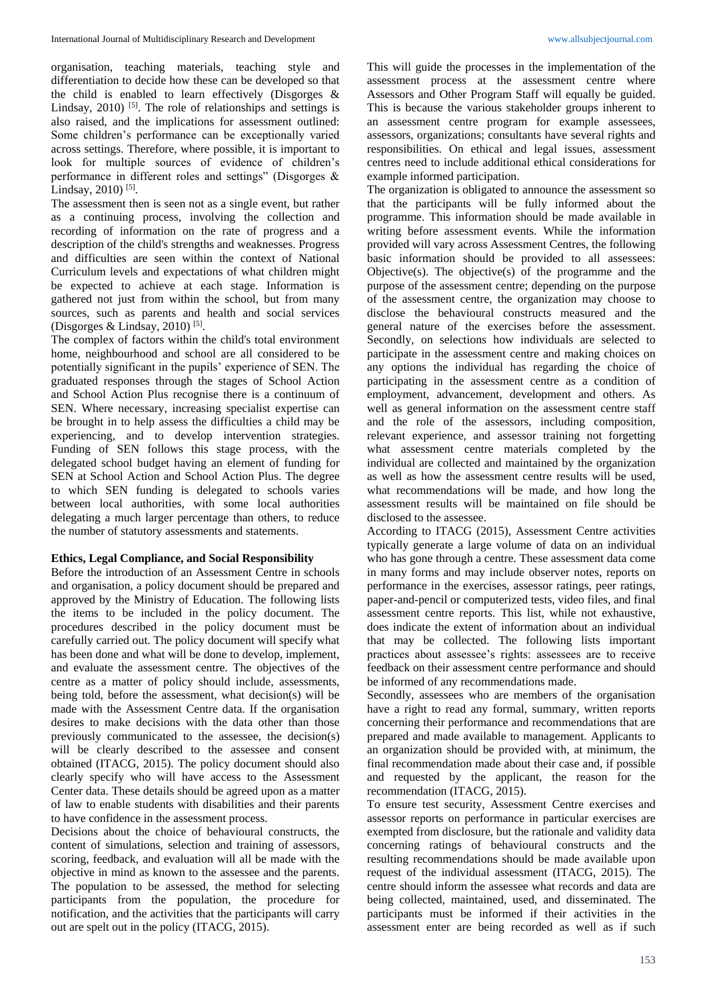organisation, teaching materials, teaching style and differentiation to decide how these can be developed so that the child is enabled to learn effectively (Disgorges & Lindsay, 2010)<sup>[5]</sup>. The role of relationships and settings is also raised, and the implications for assessment outlined: Some children's performance can be exceptionally varied across settings. Therefore, where possible, it is important to look for multiple sources of evidence of children's performance in different roles and settings" (Disgorges & Lindsay, 2010)<sup>[5]</sup>.

The assessment then is seen not as a single event, but rather as a continuing process, involving the collection and recording of information on the rate of progress and a description of the child's strengths and weaknesses. Progress and difficulties are seen within the context of National Curriculum levels and expectations of what children might be expected to achieve at each stage. Information is gathered not just from within the school, but from many sources, such as parents and health and social services (Disgorges & Lindsay, 2010)<sup>[5]</sup>.

The complex of factors within the child's total environment home, neighbourhood and school are all considered to be potentially significant in the pupils' experience of SEN. The graduated responses through the stages of School Action and School Action Plus recognise there is a continuum of SEN. Where necessary, increasing specialist expertise can be brought in to help assess the difficulties a child may be experiencing, and to develop intervention strategies. Funding of SEN follows this stage process, with the delegated school budget having an element of funding for SEN at School Action and School Action Plus. The degree to which SEN funding is delegated to schools varies between local authorities, with some local authorities delegating a much larger percentage than others, to reduce the number of statutory assessments and statements.

## **Ethics, Legal Compliance, and Social Responsibility**

Before the introduction of an Assessment Centre in schools and organisation, a policy document should be prepared and approved by the Ministry of Education. The following lists the items to be included in the policy document. The procedures described in the policy document must be carefully carried out. The policy document will specify what has been done and what will be done to develop, implement, and evaluate the assessment centre. The objectives of the centre as a matter of policy should include, assessments, being told, before the assessment, what decision(s) will be made with the Assessment Centre data. If the organisation desires to make decisions with the data other than those previously communicated to the assessee, the decision(s) will be clearly described to the assessee and consent obtained (ITACG, 2015). The policy document should also clearly specify who will have access to the Assessment Center data. These details should be agreed upon as a matter of law to enable students with disabilities and their parents to have confidence in the assessment process.

Decisions about the choice of behavioural constructs, the content of simulations, selection and training of assessors, scoring, feedback, and evaluation will all be made with the objective in mind as known to the assessee and the parents. The population to be assessed, the method for selecting participants from the population, the procedure for notification, and the activities that the participants will carry out are spelt out in the policy (ITACG, 2015).

This will guide the processes in the implementation of the assessment process at the assessment centre where Assessors and Other Program Staff will equally be guided. This is because the various stakeholder groups inherent to an assessment centre program for example assessees, assessors, organizations; consultants have several rights and responsibilities. On ethical and legal issues, assessment centres need to include additional ethical considerations for example informed participation.

The organization is obligated to announce the assessment so that the participants will be fully informed about the programme. This information should be made available in writing before assessment events. While the information provided will vary across Assessment Centres, the following basic information should be provided to all assessees: Objective(s). The objective(s) of the programme and the purpose of the assessment centre; depending on the purpose of the assessment centre, the organization may choose to disclose the behavioural constructs measured and the general nature of the exercises before the assessment. Secondly, on selections how individuals are selected to participate in the assessment centre and making choices on any options the individual has regarding the choice of participating in the assessment centre as a condition of employment, advancement, development and others. As well as general information on the assessment centre staff and the role of the assessors, including composition, relevant experience, and assessor training not forgetting what assessment centre materials completed by the individual are collected and maintained by the organization as well as how the assessment centre results will be used, what recommendations will be made, and how long the assessment results will be maintained on file should be disclosed to the assessee.

According to ITACG (2015), Assessment Centre activities typically generate a large volume of data on an individual who has gone through a centre. These assessment data come in many forms and may include observer notes, reports on performance in the exercises, assessor ratings, peer ratings, paper-and-pencil or computerized tests, video files, and final assessment centre reports. This list, while not exhaustive, does indicate the extent of information about an individual that may be collected. The following lists important practices about assessee's rights: assessees are to receive feedback on their assessment centre performance and should be informed of any recommendations made.

Secondly, assessees who are members of the organisation have a right to read any formal, summary, written reports concerning their performance and recommendations that are prepared and made available to management. Applicants to an organization should be provided with, at minimum, the final recommendation made about their case and, if possible and requested by the applicant, the reason for the recommendation (ITACG, 2015).

To ensure test security, Assessment Centre exercises and assessor reports on performance in particular exercises are exempted from disclosure, but the rationale and validity data concerning ratings of behavioural constructs and the resulting recommendations should be made available upon request of the individual assessment (ITACG, 2015). The centre should inform the assessee what records and data are being collected, maintained, used, and disseminated. The participants must be informed if their activities in the assessment enter are being recorded as well as if such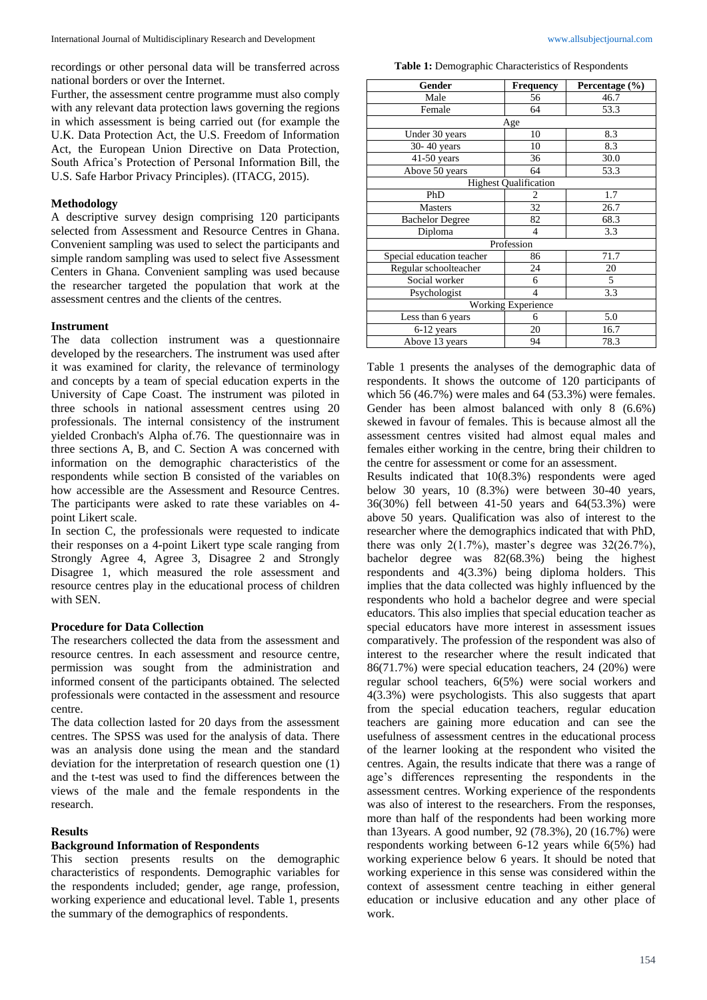recordings or other personal data will be transferred across national borders or over the Internet.

Further, the assessment centre programme must also comply with any relevant data protection laws governing the regions in which assessment is being carried out (for example the U.K. Data Protection Act, the U.S. Freedom of Information Act, the European Union Directive on Data Protection, South Africa's Protection of Personal Information Bill, the U.S. Safe Harbor Privacy Principles). (ITACG, 2015).

## **Methodology**

A descriptive survey design comprising 120 participants selected from Assessment and Resource Centres in Ghana. Convenient sampling was used to select the participants and simple random sampling was used to select five Assessment Centers in Ghana. Convenient sampling was used because the researcher targeted the population that work at the assessment centres and the clients of the centres.

## **Instrument**

The data collection instrument was a questionnaire developed by the researchers. The instrument was used after it was examined for clarity, the relevance of terminology and concepts by a team of special education experts in the University of Cape Coast. The instrument was piloted in three schools in national assessment centres using 20 professionals. The internal consistency of the instrument yielded Cronbach's Alpha of.76. The questionnaire was in three sections A, B, and C. Section A was concerned with information on the demographic characteristics of the respondents while section B consisted of the variables on how accessible are the Assessment and Resource Centres. The participants were asked to rate these variables on 4 point Likert scale.

In section C, the professionals were requested to indicate their responses on a 4-point Likert type scale ranging from Strongly Agree 4, Agree 3, Disagree 2 and Strongly Disagree 1, which measured the role assessment and resource centres play in the educational process of children with SEN.

## **Procedure for Data Collection**

The researchers collected the data from the assessment and resource centres. In each assessment and resource centre, permission was sought from the administration and informed consent of the participants obtained. The selected professionals were contacted in the assessment and resource centre.

The data collection lasted for 20 days from the assessment centres. The SPSS was used for the analysis of data. There was an analysis done using the mean and the standard deviation for the interpretation of research question one (1) and the t-test was used to find the differences between the views of the male and the female respondents in the research.

#### **Results**

## **Background Information of Respondents**

This section presents results on the demographic characteristics of respondents. Demographic variables for the respondents included; gender, age range, profession, working experience and educational level. Table 1, presents the summary of the demographics of respondents.

**Table 1:** Demographic Characteristics of Respondents

| Gender                    | <b>Frequency</b>             | Percentage (%) |  |  |  |  |  |  |  |
|---------------------------|------------------------------|----------------|--|--|--|--|--|--|--|
| Male                      | 56                           | 46.7           |  |  |  |  |  |  |  |
| Female                    | 64                           | 53.3           |  |  |  |  |  |  |  |
| Age                       |                              |                |  |  |  |  |  |  |  |
| Under 30 years            | 10                           | 8.3            |  |  |  |  |  |  |  |
| 30-40 years               | 10                           | 8.3            |  |  |  |  |  |  |  |
| 41-50 years               | 36                           | 30.0           |  |  |  |  |  |  |  |
| Above 50 years            | 64                           | 53.3           |  |  |  |  |  |  |  |
|                           | <b>Highest Qualification</b> |                |  |  |  |  |  |  |  |
| PhD                       |                              | 1.7            |  |  |  |  |  |  |  |
| Masters                   | 32                           | 26.7           |  |  |  |  |  |  |  |
| <b>Bachelor Degree</b>    | 82                           | 68.3           |  |  |  |  |  |  |  |
| Diploma                   | $\overline{4}$               | 3.3            |  |  |  |  |  |  |  |
|                           | Profession                   |                |  |  |  |  |  |  |  |
| Special education teacher | 86                           | 71.7           |  |  |  |  |  |  |  |
| Regular schoolteacher     | 24                           | 20             |  |  |  |  |  |  |  |
| Social worker             | 6                            | 5              |  |  |  |  |  |  |  |
| Psychologist              | 4                            | 3.3            |  |  |  |  |  |  |  |
|                           | <b>Working Experience</b>    |                |  |  |  |  |  |  |  |
| Less than 6 years         | 6                            | 5.0            |  |  |  |  |  |  |  |
| 6-12 years                | 20                           | 16.7           |  |  |  |  |  |  |  |
| Above 13 years            | 94                           | 78.3           |  |  |  |  |  |  |  |

Table 1 presents the analyses of the demographic data of respondents. It shows the outcome of 120 participants of which 56 (46.7%) were males and 64 (53.3%) were females. Gender has been almost balanced with only 8 (6.6%) skewed in favour of females. This is because almost all the assessment centres visited had almost equal males and females either working in the centre, bring their children to the centre for assessment or come for an assessment.

Results indicated that 10(8.3%) respondents were aged below 30 years, 10 (8.3%) were between 30-40 years, 36(30%) fell between 41-50 years and 64(53.3%) were above 50 years. Qualification was also of interest to the researcher where the demographics indicated that with PhD, there was only  $2(1.7\%)$ , master's degree was  $32(26.7\%)$ , bachelor degree was 82(68.3%) being the highest respondents and 4(3.3%) being diploma holders. This implies that the data collected was highly influenced by the respondents who hold a bachelor degree and were special educators. This also implies that special education teacher as special educators have more interest in assessment issues comparatively. The profession of the respondent was also of interest to the researcher where the result indicated that 86(71.7%) were special education teachers, 24 (20%) were regular school teachers, 6(5%) were social workers and 4(3.3%) were psychologists. This also suggests that apart from the special education teachers, regular education teachers are gaining more education and can see the usefulness of assessment centres in the educational process of the learner looking at the respondent who visited the centres. Again, the results indicate that there was a range of age's differences representing the respondents in the assessment centres. Working experience of the respondents was also of interest to the researchers. From the responses, more than half of the respondents had been working more than 13years. A good number, 92 (78.3%), 20 (16.7%) were respondents working between 6-12 years while 6(5%) had working experience below 6 years. It should be noted that working experience in this sense was considered within the context of assessment centre teaching in either general education or inclusive education and any other place of work.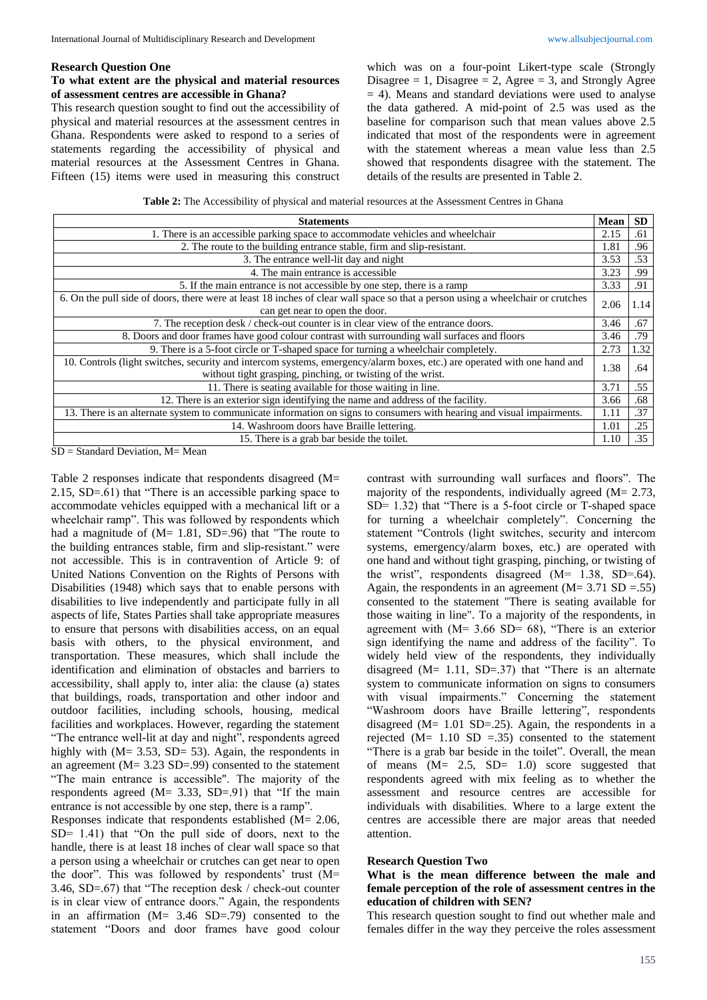## **Research Question One**

# **To what extent are the physical and material resources of assessment centres are accessible in Ghana?**

This research question sought to find out the accessibility of physical and material resources at the assessment centres in Ghana. Respondents were asked to respond to a series of statements regarding the accessibility of physical and material resources at the Assessment Centres in Ghana. Fifteen (15) items were used in measuring this construct

which was on a four-point Likert-type scale (Strongly Disagree = 1, Disagree = 2, Agree = 3, and Strongly Agree  $= 4$ ). Means and standard deviations were used to analyse the data gathered. A mid-point of 2.5 was used as the baseline for comparison such that mean values above 2.5 indicated that most of the respondents were in agreement with the statement whereas a mean value less than 2.5 showed that respondents disagree with the statement. The details of the results are presented in Table 2.

**Table 2:** The Accessibility of physical and material resources at the Assessment Centres in Ghana

| <b>Statements</b>                                                                                                               |              |      |  |
|---------------------------------------------------------------------------------------------------------------------------------|--------------|------|--|
| 1. There is an accessible parking space to accommodate vehicles and wheelchair                                                  |              |      |  |
| 2. The route to the building entrance stable, firm and slip-resistant.                                                          |              |      |  |
| 3. The entrance well-lit day and night                                                                                          |              |      |  |
| 4. The main entrance is accessible                                                                                              |              |      |  |
| 5. If the main entrance is not accessible by one step, there is a ramp                                                          |              |      |  |
| 6. On the pull side of doors, there were at least 18 inches of clear wall space so that a person using a wheelchair or crutches |              |      |  |
| can get near to open the door.                                                                                                  | 2.06<br>1.14 |      |  |
| 7. The reception desk / check-out counter is in clear view of the entrance doors.                                               |              | .67  |  |
| 8. Doors and door frames have good colour contrast with surrounding wall surfaces and floors                                    |              | .79  |  |
| 9. There is a 5-foot circle or T-shaped space for turning a wheelchair completely.                                              |              | 1.32 |  |
| 10. Controls (light switches, security and intercom systems, emergency/alarm boxes, etc.) are operated with one hand and        |              | .64  |  |
| without tight grasping, pinching, or twisting of the wrist.                                                                     |              |      |  |
| 11. There is seating available for those waiting in line.                                                                       |              | .55  |  |
| 12. There is an exterior sign identifying the name and address of the facility.                                                 |              | .68  |  |
| 13. There is an alternate system to communicate information on signs to consumers with hearing and visual impairments.          |              |      |  |
| 14. Washroom doors have Braille lettering.                                                                                      |              |      |  |
| 15. There is a grab bar beside the toilet.                                                                                      | 1.10         | .35  |  |

SD = Standard Deviation, M= Mean

Table 2 responses indicate that respondents disagreed (M= 2.15, SD=.61) that "There is an accessible parking space to accommodate vehicles equipped with a mechanical lift or a wheelchair ramp". This was followed by respondents which had a magnitude of (M= 1.81, SD=.96) that "The route to the building entrances stable, firm and slip-resistant." were not accessible. This is in contravention of Article 9: of United Nations Convention on the Rights of Persons with Disabilities (1948) which says that to enable persons with disabilities to live independently and participate fully in all aspects of life, States Parties shall take appropriate measures to ensure that persons with disabilities access, on an equal basis with others, to the physical environment, and transportation. These measures, which shall include the identification and elimination of obstacles and barriers to accessibility, shall apply to, inter alia: the clause (a) states that buildings, roads, transportation and other indoor and outdoor facilities, including schools, housing, medical facilities and workplaces. However, regarding the statement "The entrance well-lit at day and night", respondents agreed highly with (M= 3.53, SD= 53). Again, the respondents in an agreement (M= 3.23 SD=.99) consented to the statement "The main entrance is accessible". The majority of the respondents agreed  $(M= 3.33, SD=.91)$  that "If the main entrance is not accessible by one step, there is a ramp".

Responses indicate that respondents established (M= 2.06, SD= 1.41) that "On the pull side of doors, next to the handle, there is at least 18 inches of clear wall space so that a person using a wheelchair or crutches can get near to open the door". This was followed by respondents' trust (M= 3.46, SD=.67) that "The reception desk / check-out counter is in clear view of entrance doors." Again, the respondents in an affirmation (M= 3.46 SD=.79) consented to the statement "Doors and door frames have good colour

contrast with surrounding wall surfaces and floors". The majority of the respondents, individually agreed  $(M= 2.73,$ SD= 1.32) that "There is a 5-foot circle or T-shaped space for turning a wheelchair completely". Concerning the statement "Controls (light switches, security and intercom systems, emergency/alarm boxes, etc.) are operated with one hand and without tight grasping, pinching, or twisting of the wrist", respondents disagreed  $(M= 1.38, SD=0.64)$ . Again, the respondents in an agreement  $(M= 3.71$  SD =.55) consented to the statement "There is seating available for those waiting in line". To a majority of the respondents, in agreement with  $(M= 3.66 \text{ SD} = 68)$ , "There is an exterior sign identifying the name and address of the facility". To widely held view of the respondents, they individually disagreed  $(M= 1.11, SD=.37)$  that "There is an alternate system to communicate information on signs to consumers with visual impairments." Concerning the statement "Washroom doors have Braille lettering", respondents disagreed ( $M = 1.01$  SD=.25). Again, the respondents in a rejected ( $M = 1.10$  SD = .35) consented to the statement "There is a grab bar beside in the toilet". Overall, the mean of means  $(M= 2.5, SD= 1.0)$  score suggested that respondents agreed with mix feeling as to whether the assessment and resource centres are accessible for individuals with disabilities. Where to a large extent the centres are accessible there are major areas that needed attention.

#### **Research Question Two**

## **What is the mean difference between the male and female perception of the role of assessment centres in the education of children with SEN?**

This research question sought to find out whether male and females differ in the way they perceive the roles assessment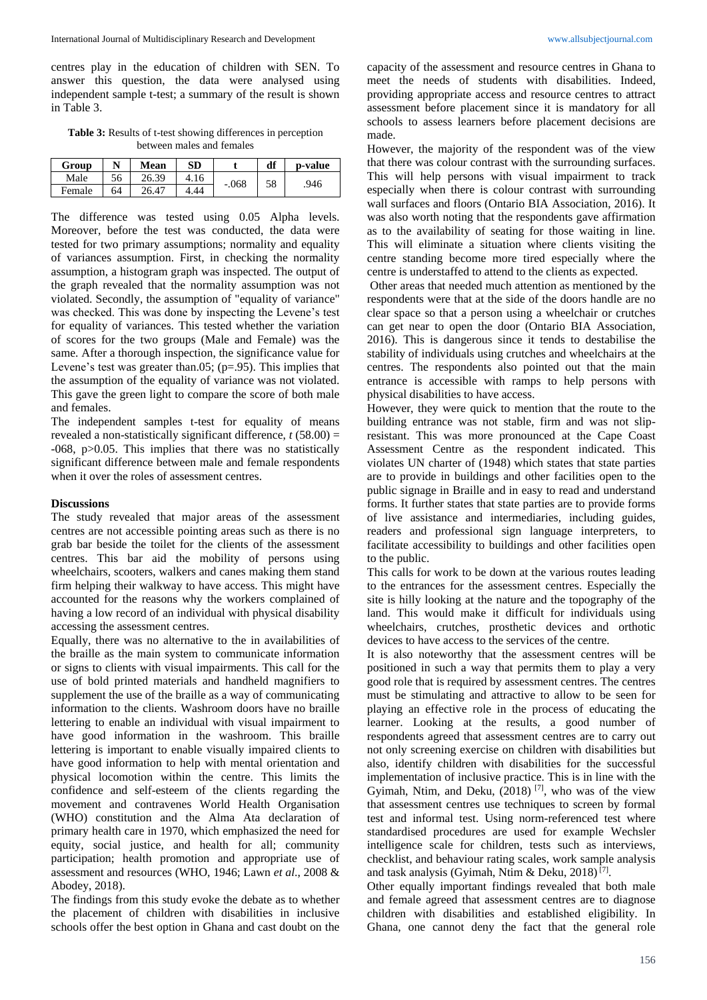centres play in the education of children with SEN. To answer this question, the data were analysed using independent sample t-test; a summary of the result is shown in Table 3.

**Table 3:** Results of t-test showing differences in perception between males and females

| Group  |    | Mean  | SD   |         | df | p-value |
|--------|----|-------|------|---------|----|---------|
| Male   | 56 | 26.39 | 4.16 | $-.068$ | 58 | .946    |
| Female | 64 | 26.47 | .44  |         |    |         |

The difference was tested using 0.05 Alpha levels. Moreover, before the test was conducted, the data were tested for two primary assumptions; normality and equality of variances assumption. First, in checking the normality assumption, a histogram graph was inspected. The output of the graph revealed that the normality assumption was not violated. Secondly, the assumption of "equality of variance" was checked. This was done by inspecting the Levene's test for equality of variances. This tested whether the variation of scores for the two groups (Male and Female) was the same. After a thorough inspection, the significance value for Levene's test was greater than.05;  $(p=.95)$ . This implies that the assumption of the equality of variance was not violated. This gave the green light to compare the score of both male and females.

The independent samples t-test for equality of means revealed a non-statistically significant difference, *t* (58.00) = -068, p>0.05. This implies that there was no statistically significant difference between male and female respondents when it over the roles of assessment centres.

## **Discussions**

The study revealed that major areas of the assessment centres are not accessible pointing areas such as there is no grab bar beside the toilet for the clients of the assessment centres. This bar aid the mobility of persons using wheelchairs, scooters, walkers and canes making them stand firm helping their walkway to have access. This might have accounted for the reasons why the workers complained of having a low record of an individual with physical disability accessing the assessment centres.

Equally, there was no alternative to the in availabilities of the braille as the main system to communicate information or signs to clients with visual impairments. This call for the use of bold printed materials and handheld magnifiers to supplement the use of the braille as a way of communicating information to the clients. Washroom doors have no braille lettering to enable an individual with visual impairment to have good information in the washroom. This braille lettering is important to enable visually impaired clients to have good information to help with mental orientation and physical locomotion within the centre. This limits the confidence and self-esteem of the clients regarding the movement and contravenes World Health Organisation (WHO) constitution and the Alma Ata declaration of primary health care in 1970, which emphasized the need for equity, social justice, and health for all; community participation; health promotion and appropriate use of assessment and resources (WHO, 1946; Lawn *et al*., 2008 & Abodey, 2018).

The findings from this study evoke the debate as to whether the placement of children with disabilities in inclusive schools offer the best option in Ghana and cast doubt on the

capacity of the assessment and resource centres in Ghana to meet the needs of students with disabilities. Indeed, providing appropriate access and resource centres to attract assessment before placement since it is mandatory for all schools to assess learners before placement decisions are made.

However, the majority of the respondent was of the view that there was colour contrast with the surrounding surfaces. This will help persons with visual impairment to track especially when there is colour contrast with surrounding wall surfaces and floors (Ontario BIA Association, 2016). It was also worth noting that the respondents gave affirmation as to the availability of seating for those waiting in line. This will eliminate a situation where clients visiting the centre standing become more tired especially where the centre is understaffed to attend to the clients as expected.

Other areas that needed much attention as mentioned by the respondents were that at the side of the doors handle are no clear space so that a person using a wheelchair or crutches can get near to open the door (Ontario BIA Association, 2016). This is dangerous since it tends to destabilise the stability of individuals using crutches and wheelchairs at the centres. The respondents also pointed out that the main entrance is accessible with ramps to help persons with physical disabilities to have access.

However, they were quick to mention that the route to the building entrance was not stable, firm and was not slipresistant. This was more pronounced at the Cape Coast Assessment Centre as the respondent indicated. This violates UN charter of (1948) which states that state parties are to provide in buildings and other facilities open to the public signage in Braille and in easy to read and understand forms. It further states that state parties are to provide forms of live assistance and intermediaries, including guides, readers and professional sign language interpreters, to facilitate accessibility to buildings and other facilities open to the public.

This calls for work to be down at the various routes leading to the entrances for the assessment centres. Especially the site is hilly looking at the nature and the topography of the land. This would make it difficult for individuals using wheelchairs, crutches, prosthetic devices and orthotic devices to have access to the services of the centre.

It is also noteworthy that the assessment centres will be positioned in such a way that permits them to play a very good role that is required by assessment centres. The centres must be stimulating and attractive to allow to be seen for playing an effective role in the process of educating the learner. Looking at the results, a good number of respondents agreed that assessment centres are to carry out not only screening exercise on children with disabilities but also, identify children with disabilities for the successful implementation of inclusive practice. This is in line with the Gyimah, Ntim, and Deku, (2018) [7] , who was of the view that assessment centres use techniques to screen by formal test and informal test. Using norm-referenced test where standardised procedures are used for example Wechsler intelligence scale for children, tests such as interviews, checklist, and behaviour rating scales, work sample analysis and task analysis (Gyimah, Ntim & Deku, 2018)<sup>[7]</sup>.

Other equally important findings revealed that both male and female agreed that assessment centres are to diagnose children with disabilities and established eligibility. In Ghana, one cannot deny the fact that the general role